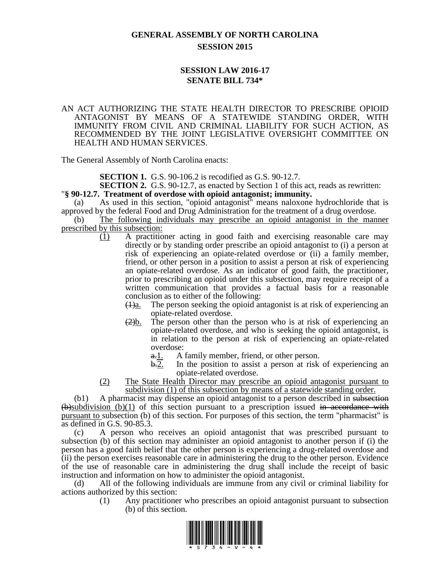## **GENERAL ASSEMBLY OF NORTH CAROLINA SESSION 2015**

## **SESSION LAW 2016-17 SENATE BILL 734\***

## AN ACT AUTHORIZING THE STATE HEALTH DIRECTOR TO PRESCRIBE OPIOID ANTAGONIST BY MEANS OF A STATEWIDE STANDING ORDER, WITH IMMUNITY FROM CIVIL AND CRIMINAL LIABILITY FOR SUCH ACTION, AS RECOMMENDED BY THE JOINT LEGISLATIVE OVERSIGHT COMMITTEE ON HEALTH AND HUMAN SERVICES.

The General Assembly of North Carolina enacts:

**SECTION 1.** G.S. 90-106.2 is recodified as G.S. 90-12.7.

**SECTION 2.** G.S. 90-12.7, as enacted by Section 1 of this act, reads as rewritten: "**§ 90-12.7. Treatment of overdose with opioid antagonist; immunity.**

(a) As used in this section, "opioid antagonist" means naloxone hydrochloride that is approved by the federal Food and Drug Administration for the treatment of a drug overdose.

(b) The following individuals may prescribe an opioid antagonist in the manner prescribed by this subsection:

- (1) A practitioner acting in good faith and exercising reasonable care may directly or by standing order prescribe an opioid antagonist to (i) a person at risk of experiencing an opiate-related overdose or (ii) a family member, friend, or other person in a position to assist a person at risk of experiencing an opiate-related overdose. As an indicator of good faith, the practitioner, prior to prescribing an opioid under this subsection, may require receipt of a written communication that provides a factual basis for a reasonable conclusion as to either of the following:
	- $\frac{1}{a}$ . The person seeking the opioid antagonist is at risk of experiencing an opiate-related overdose.
	- $\frac{2}{b}$ . The person other than the person who is at risk of experiencing an opiate-related overdose, and who is seeking the opioid antagonist, is in relation to the person at risk of experiencing an opiate-related overdose:
		- a. 1. A family member, friend, or other person.
		- b.2. In the position to assist a person at risk of experiencing an opiate-related overdose.
- (2) The State Health Director may prescribe an opioid antagonist pursuant to subdivision (1) of this subsection by means of a statewide standing order.

(b1) A pharmacist may dispense an opioid antagonist to a person described in subsection  $\bigoplus$ subdivision (b)(1) of this section pursuant to a prescription issued in accordance with pursuant to subsection (b) of this section. For purposes of this section, the term "pharmacist" is as defined in G.S. 90-85.3.

(c) A person who receives an opioid antagonist that was prescribed pursuant to subsection (b) of this section may administer an opioid antagonist to another person if (i) the person has a good faith belief that the other person is experiencing a drug-related overdose and (ii) the person exercises reasonable care in administering the drug to the other person. Evidence of the use of reasonable care in administering the drug shall include the receipt of basic instruction and information on how to administer the opioid antagonist.

(d) All of the following individuals are immune from any civil or criminal liability for actions authorized by this section:

(1) Any practitioner who prescribes an opioid antagonist pursuant to subsection (b) of this section.